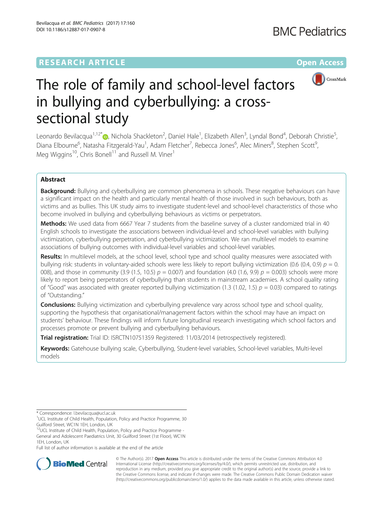## **RESEARCH ARTICLE Example 2014 12:30 The Community Community Community Community Community Community Community**



# The role of family and school-level factors in bullying and cyberbullying: a crosssectional study

Leonardo Bevilacqua<sup>1,12[\\*](http://orcid.org/0000-0002-2397-8189)</sup>®, Nichola Shackleton<sup>2</sup>, Daniel Hale<sup>1</sup>, Elizabeth Allen<sup>3</sup>, Lyndal Bond<sup>4</sup>, Deborah Christie<sup>5</sup> , Diana Elbourne<sup>6</sup>, Natasha Fitzgerald-Yau<sup>1</sup>, Adam Fletcher<sup>7</sup>, Rebecca Jones<sup>6</sup>, Alec Miners<sup>8</sup>, Stephen Scott<sup>s</sup> , Meg Wiggins<sup>10</sup>, Chris Bonell<sup>11</sup> and Russell M. Viner<sup>1</sup>

## Abstract

**Background:** Bullying and cyberbullying are common phenomena in schools. These negative behaviours can have a significant impact on the health and particularly mental health of those involved in such behaviours, both as victims and as bullies. This UK study aims to investigate student-level and school-level characteristics of those who become involved in bullying and cyberbullying behaviours as victims or perpetrators.

Methods: We used data from 6667 Year 7 students from the baseline survey of a cluster randomized trial in 40 English schools to investigate the associations between individual-level and school-level variables with bullying victimization, cyberbullying perpetration, and cyberbullying victimization. We ran multilevel models to examine associations of bullying outcomes with individual-level variables and school-level variables.

Results: In multilevel models, at the school level, school type and school quality measures were associated with bullying risk: students in voluntary-aided schools were less likely to report bullying victimization (0.6 (0.4, 0.9)  $p = 0$ . 008), and those in community (3.9 (1.5, 10.5)  $p = 0.007$ ) and foundation (4.0 (1.6, 9.9)  $p = 0.003$ ) schools were more likely to report being perpetrators of cyberbullying than students in mainstream academies. A school quality rating of "Good" was associated with greater reported bullying victimization (1.3 (1.02, 1.5)  $p = 0.03$ ) compared to ratings of "Outstanding."

**Conclusions:** Bullying victimization and cyberbullying prevalence vary across school type and school quality, supporting the hypothesis that organisational/management factors within the school may have an impact on students' behaviour. These findings will inform future longitudinal research investigating which school factors and processes promote or prevent bullying and cyberbullying behaviours.

**Trial registration:** Trial ID: [ISRCTN10751359](http://www.isrctn.com/ISRCTN10751359) Registered: 11/03/2014 (retrospectively registered).

Keywords: Gatehouse bullying scale, Cyberbullying, Student-level variables, School-level variables, Multi-level models

\* Correspondence: [l.bevilacqua@ucl.ac.uk](mailto:l.bevilacqua@ucl.ac.uk) <sup>1</sup>

Full list of author information is available at the end of the article



© The Author(s). 2017 **Open Access** This article is distributed under the terms of the Creative Commons Attribution 4.0 International License [\(http://creativecommons.org/licenses/by/4.0/](http://creativecommons.org/licenses/by/4.0/)), which permits unrestricted use, distribution, and reproduction in any medium, provided you give appropriate credit to the original author(s) and the source, provide a link to the Creative Commons license, and indicate if changes were made. The Creative Commons Public Domain Dedication waiver [\(http://creativecommons.org/publicdomain/zero/1.0/](http://creativecommons.org/publicdomain/zero/1.0/)) applies to the data made available in this article, unless otherwise stated.

<sup>&</sup>lt;sup>1</sup>UCL Institute of Child Health, Population, Policy and Practice Programme, 30 Guilford Street, WC1N 1EH, London, UK

<sup>&</sup>lt;sup>12</sup>UCL Institute of Child Health, Population, Policy and Practice Programme -General and Adolescent Paediatrics Unit, 30 Guilford Street (1st Floor), WC1N 1EH, London, UK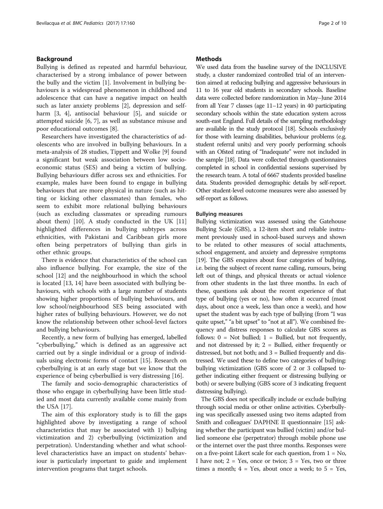## Background

Bullying is defined as repeated and harmful behaviour, characterised by a strong imbalance of power between the bully and the victim [[1](#page-8-0)]. Involvement in bullying behaviours is a widespread phenomenon in childhood and adolescence that can have a negative impact on health such as later anxiety problems [\[2](#page-8-0)], depression and self-harm [\[3](#page-8-0), [4](#page-8-0)], antisocial behaviour [\[5](#page-8-0)], and suicide or attempted suicide [[6, 7\]](#page-8-0), as well as substance misuse and poor educational outcomes [\[8](#page-8-0)].

Researchers have investigated the characteristics of adolescents who are involved in bullying behaviours. In a meta-analysis of 28 studies, Tippett and Wolke [[9\]](#page-8-0) found a significant but weak association between low socioeconomic status (SES) and being a victim of bullying. Bullying behaviours differ across sex and ethnicities. For example, males have been found to engage in bullying behaviours that are more physical in nature (such as hitting or kicking other classmates) than females, who seem to exhibit more relational bullying behaviours (such as excluding classmates or spreading rumours about them) [\[10](#page-8-0)]. A study conducted in the UK [[11](#page-8-0)] highlighted differences in bullying subtypes across ethnicities, with Pakistani and Caribbean girls more often being perpetrators of bullying than girls in other ethnic groups.

There is evidence that characteristics of the school can also influence bullying. For example, the size of the school [[12\]](#page-8-0) and the neighbourhood in which the school is located [[13](#page-9-0), [14](#page-9-0)] have been associated with bullying behaviours, with schools with a large number of students showing higher proportions of bullying behaviours, and low school/neighbourhood SES being associated with higher rates of bullying behaviours. However, we do not know the relationship between other school-level factors and bullying behaviours.

Recently, a new form of bullying has emerged, labelled "cyberbullying," which is defined as an aggressive act carried out by a single individual or a group of individuals using electronic forms of contact [\[15](#page-9-0)]. Research on cyberbullying is at an early stage but we know that the experience of being cyberbullied is very distressing [[16](#page-9-0)].

The family and socio-demographic characteristics of those who engage in cyberbullying have been little studied and most data currently available come mainly from the USA [[17\]](#page-9-0).

The aim of this exploratory study is to fill the gaps highlighted above by investigating a range of school characteristics that may be associated with 1) bullying victimization and 2) cyberbullying (victimization and perpetration). Understanding whether and what schoollevel characteristics have an impact on students' behaviour is particularly important to guide and implement intervention programs that target schools.

## **Methods**

We used data from the baseline survey of the INCLUSIVE study, a cluster randomized controlled trial of an intervention aimed at reducing bullying and aggressive behaviours in 11 to 16 year old students in secondary schools. Baseline data were collected before randomization in May–June 2014 from all Year 7 classes (age 11–12 years) in 40 participating secondary schools within the state education system across south-east England. Full details of the sampling methodology are available in the study protocol [\[18\]](#page-9-0). Schools exclusively for those with learning disabilities, behaviour problems (e.g. student referral units) and very poorly performing schools with an Ofsted rating of "Inadequate" were not included in the sample [\[18](#page-9-0)]. Data were collected through questionnaires completed in school in confidential sessions supervised by the research team. A total of 6667 students provided baseline data. Students provided demographic details by self-report. Other student-level outcome measures were also assessed by self-report as follows.

### Bullying measures

Bullying victimization was assessed using the Gatehouse Bullying Scale (GBS), a 12-item short and reliable instrument previously used in school-based surveys and shown to be related to other measures of social attachments, school engagement, and anxiety and depressive symptoms [[19](#page-9-0)]. The GBS enquires about four categories of bullying, i.e. being the subject of recent name calling, rumours, being left out of things, and physical threats or actual violence from other students in the last three months. In each of these, questions ask about the recent experience of that type of bullying (yes or no), how often it occurred (most days, about once a week, less than once a week), and how upset the student was by each type of bullying (from "I was quite upset," "a bit upset" to "not at all"). We combined frequency and distress responses to calculate GBS scores as follows:  $0 =$  Not bullied;  $1 =$  Bullied, but not frequently, and not distressed by it; 2 = Bullied, either frequently or distressed, but not both; and 3 = Bullied frequently and distressed. We used these to define two categories of bullying: bullying victimization (GBS score of 2 or 3 collapsed together indicating either frequent or distressing bullying or both) or severe bullying (GBS score of 3 indicating frequent distressing bullying).

The GBS does not specifically include or exclude bullying through social media or other online activities. Cyberbullying was specifically assessed using two items adapted from Smith and colleagues' DAPHNE II questionnaire [[15\]](#page-9-0) asking whether the participant was bullied (victim) and/or bullied someone else (perpetrator) through mobile phone use or the internet over the past three months. Responses were on a five-point Likert scale for each question, from  $1 = No$ , I have not;  $2 = Yes$ , once or twice;  $3 = Yes$ , two or three times a month;  $4 = Yes$ , about once a week; to  $5 = Yes$ ,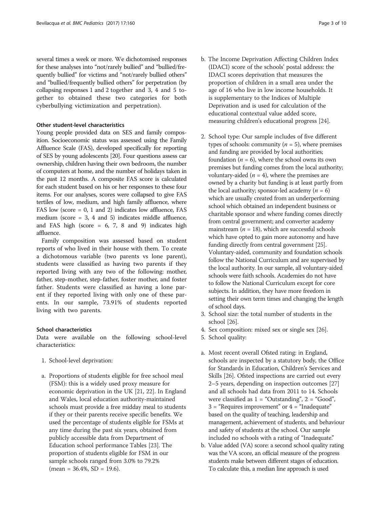several times a week or more. We dichotomised responses for these analyses into "not/rarely bullied" and "bullied/frequently bullied" for victims and "not/rarely bullied others" and "bullied/frequently bullied others" for perpetration (by collapsing responses 1 and 2 together and 3, 4 and 5 together to obtained these two categories for both cyberbullying victimization and perpetration).

#### Other student-level characteristics

Young people provided data on SES and family composition. Socioeconomic status was assessed using the Family Affluence Scale (FAS), developed specifically for reporting of SES by young adolescents [\[20\]](#page-9-0). Four questions assess car ownership, children having their own bedroom, the number of computers at home, and the number of holidays taken in the past 12 months. A composite FAS score is calculated for each student based on his or her responses to these four items. For our analyses, scores were collapsed to give FAS tertiles of low, medium, and high family affluence, where FAS low (score = 0, 1 and 2) indicates low affluence, FAS medium (score = 3, 4 and 5) indicates middle affluence, and FAS high (score  $= 6, 7, 8$  and 9) indicates high affluence.

Family composition was assessed based on student reports of who lived in their house with them. To create a dichotomous variable (two parents vs lone parent), students were classified as having two parents if they reported living with any two of the following: mother, father, step-mother, step-father, foster mother, and foster father. Students were classified as having a lone parent if they reported living with only one of these parents. In our sample, 73.91% of students reported living with two parents.

## School characteristics

Data were available on the following school-level characteristics:

- 1. School-level deprivation:
- a. Proportions of students eligible for free school meal (FSM): this is a widely used proxy measure for economic deprivation in the UK [[21](#page-9-0), [22](#page-9-0)]. In England and Wales, local education authority-maintained schools must provide a free midday meal to students if they or their parents receive specific benefits. We used the percentage of students eligible for FSMs at any time during the past six years, obtained from publicly accessible data from Department of Education school performance Tables [\[23\]](#page-9-0). The proportion of students eligible for FSM in our sample schools ranged from 3.0% to 79.2%  $(\text{mean} = 36.4\%, SD = 19.6).$
- b. The Income Deprivation Affecting Children Index (IDACI) score of the schools' postal address: the IDACI scores deprivation that measures the proportion of children in a small area under the age of 16 who live in low income households. It is supplementary to the Indices of Multiple Deprivation and is used for calculation of the educational contextual value added score, measuring children's educational progress [[24\]](#page-9-0).
- 2. School type: Our sample includes of five different types of schools: community ( $n = 5$ ), where premises and funding are provided by local authorities; foundation ( $n = 6$ ), where the school owns its own premises but funding comes from the local authority; voluntary-aided ( $n = 4$ ), where the premises are owned by a charity but funding is at least partly from the local authority; sponsor-led academy  $(n = 6)$ which are usually created from an underperforming school which obtained an independent business or charitable sponsor and where funding comes directly from central government; and converter academy mainstream ( $n = 18$ ), which are successful schools which have opted to gain more autonomy and have funding directly from central government [[25\]](#page-9-0). Voluntary-aided, community and foundation schools follow the National Curriculum and are supervised by the local authority. In our sample, all voluntary-aided schools were faith schools. Academies do not have to follow the National Curriculum except for core subjects. In addition, they have more freedom in setting their own term times and changing the length of school days.
- 3. School size: the total number of students in the school [\[26\]](#page-9-0).
- 4. Sex composition: mixed sex or single sex [\[26\]](#page-9-0).
- 5. School quality:
- a. Most recent overall Ofsted rating: in England, schools are inspected by a statutory body, the Office for Standards in Education, Children's Services and Skills [\[26\]](#page-9-0). Ofsted inspections are carried out every 2–5 years, depending on inspection outcomes [\[27\]](#page-9-0) and all schools had data from 2011 to 14. Schools were classified as  $1 =$  "Outstanding",  $2 =$  "Good",  $3 =$  "Requires improvement" or  $4 =$  "Inadequate" based on the quality of teaching, leadership and management, achievement of students, and behaviour and safety of students at the school. Our sample included no schools with a rating of "Inadequate."
- b. Value added (VA) score: a second school quality rating was the VA score, an official measure of the progress students make between different stages of education. To calculate this, a median line approach is used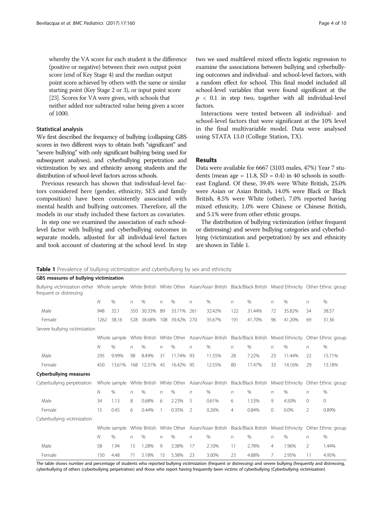whereby the VA score for each student is the difference (positive or negative) between their own output point score (end of Key Stage 4) and the median output point score achieved by others with the same or similar starting point (Key Stage 2 or 3), or input point score [\[23\]](#page-9-0). Scores for VA were given, with schools that neither added nor subtracted value being given a score of 1000.

## Statistical analysis

We first described the frequency of bullying (collapsing GBS scores in two different ways to obtain both "significant" and "severe bullying" with only significant bullying being used for subsequent analyses), and cyberbullying perpetration and victimization by sex and ethnicity among students and the distribution of school-level factors across schools.

Previous research has shown that individual-level factors considered here (gender, ethnicity, SES and family composition) have been consistently associated with mental health and bullying outcomes. Therefore, all the models in our study included these factors as covariates.

In step one we examined the association of each schoollevel factor with bullying and cyberbullying outcomes in separate models, adjusted for all individual-level factors and took account of clustering at the school level. In step

two we used multilevel mixed effects logistic regression to examine the associations between bullying and cyberbullying outcomes and individual- and school-level factors, with a random effect for school. This final model included all school-level variables that were found significant at the  $p < 0.1$  in step two, together with all individual-level factors.

Interactions were tested between all individual- and school-level factors that were significant at the 10% level in the final multivariable model. Data were analysed using STATA 13.0 (College Station, TX).

## Results

Data were available for 6667 (3103 males, 47%) Year 7 students (mean age =  $11.8$ , SD = 0.4) in 40 schools in southeast England. Of these, 39.4% were White British, 25.0% were Asian or Asian British, 14.0% were Black or Black British, 8.5% were White (other), 7.0% reported having mixed ethnicity, 1.0% were Chinese or Chinese British, and 5.1% were from other ethnic groups.

The distribution of bullying victimization (either frequent or distressing) and severe bullying categories and cyberbullying (victimization and perpetration) by sex and ethnicity are shown in Table 1.

#### Table 1 Prevalence of bullying victimization and cyberbullying by sex and ethnicity

GBS measures of bullying victimization Bullying victimization either Whole sample White British White Other Asian/Asian British Black/Black British Mixed Ethnicity Other Ethnic group frequent or distressing N % n % n % n % n % n % n % Male 948 32.1 350 30.33% 89 33.71% 261 32.42% 122 31.44% 72 35.82% 54 38.57 Female 1262 38.16 528 38.68% 108 39.42% 270 35.67% 191 41.70% 96 41.20% 69 31.36 Severe bullying victimization Whole sample White British White Other Asian/Asian British Black/Black British Mixed Ethnicity Other Ethnic group N % n % n % n % n % n % n % Male 295 9.99% 98 8.49% 31 11.74% 93 11.55% 28 7.22% 23 11.44% 22 15.71% Female 450 13.61% 168 12.31% 45 16.42% 95 12.55% 80 17.47% 33 14.16% 29 13.18% Cyberbullying measures Cyberbullying perpetration Whole sample White British White Other Asian/Asian British Black/Black British Mixed Ethnicity Other Ethnic group N % n % n % n % n % n % n % Male 34 1.13 8 0.68% 6 2.23% 5 0.61% 6 1.53% 9 4.50% 0 0 Female 15 0.45 6 0.44% 1 0.35% 2 0.26% 4 0.84% 0 0.0% 2 0.89% Cyberbullying victimization Whole sample White British White Other Asian/Asian British Black/Black British Mixed Ethnicity Other Ethnic group N % n % n % n % n % n % n % Male 58 1.94 15 1.28% 9 3.38% 17 2.10% 11 2.78% 4 1.96% 2 1.44% Female 150 4.48 71 5.18% 15 5.38% 23 3.00% 23 4.88% 7 2.95% 11 4.95%

The table shows number and percentage of students who reported bullying victimization (frequent or distressing) and severe bullying (frequently and distressing, cyberbullying of others (cyberbullying perpetration) and those who report having frequently been victims of cyberbullying (Cyberbullying victimization)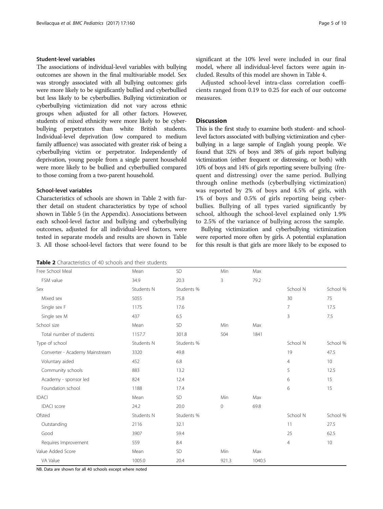## Student-level variables

The associations of individual-level variables with bullying outcomes are shown in the final multivariable model. Sex was strongly associated with all bullying outcomes: girls were more likely to be significantly bullied and cyberbullied but less likely to be cyberbullies. Bullying victimization or cyberbullying victimization did not vary across ethnic groups when adjusted for all other factors. However, students of mixed ethnicity were more likely to be cyberbullying perpetrators than white British students. Individual-level deprivation (low compared to medium family affluence) was associated with greater risk of being a cyberbullying victim or perpetrator. Independently of deprivation, young people from a single parent household were more likely to be bullied and cyberbullied compared to those coming from a two-parent household.

## School-level variables

Characteristics of schools are shown in Table 2 with further detail on student characteristics by type of school shown in Table 5 (in the [Appendix](#page-8-0)). Associations between each school-level factor and bullying and cyberbullying outcomes, adjusted for all individual-level factors, were tested in separate models and results are shown in Table [3.](#page-5-0) All those school-level factors that were found to be

| <b>Table 2</b> Characteristics of 40 schools and their students |
|-----------------------------------------------------------------|
|-----------------------------------------------------------------|

significant at the 10% level were included in our final model, where all individual-level factors were again included. Results of this model are shown in Table [4](#page-6-0).

Adjusted school-level intra-class correlation coefficients ranged from 0.19 to 0.25 for each of our outcome measures.

## Discussion

This is the first study to examine both student- and schoollevel factors associated with bullying victimization and cyberbullying in a large sample of English young people. We found that 32% of boys and 38% of girls report bullying victimization (either frequent or distressing, or both) with 10% of boys and 14% of girls reporting severe bullying (frequent and distressing) over the same period. Bullying through online methods (cyberbullying victimization) was reported by 2% of boys and 4.5% of girls, with 1% of boys and 0.5% of girls reporting being cyberbullies. Bullying of all types varied significantly by school, although the school-level explained only 1.9% to 2.5% of the variance of bullying across the sample.

Bullying victimization and cyberbullying victimization were reported more often by girls. A potential explanation for this result is that girls are more likely to be exposed to

| Free School Meal               | Mean       | SD         | Min   | Max    |                |          |
|--------------------------------|------------|------------|-------|--------|----------------|----------|
| FSM value                      | 34.9       | 20.3       | 3     | 79.2   |                |          |
| Sex                            | Students N | Students % |       |        | School N       | School % |
| Mixed sex                      | 5055       | 75.8       |       |        | 30             | 75       |
| Single sex F                   | 1175       | 17.6       |       |        | $\overline{7}$ | 17.5     |
| Single sex M                   | 437        | 6.5        |       |        | 3              | 7.5      |
| School size                    | Mean       | SD         | Min   | Max    |                |          |
| Total number of students       | 1157.7     | 301.8      | 504   | 1841   |                |          |
| Type of school                 | Students N | Students % |       |        | School N       | School % |
| Converter - Academy Mainstream | 3320       | 49.8       |       |        | 19             | 47.5     |
| Voluntary aided                | 452        | 6.8        |       |        | $\overline{4}$ | 10       |
| Community schools              | 883        | 13.2       |       |        | 5              | 12.5     |
| Academy - sponsor led          | 824        | 12.4       |       |        | 6              | 15       |
| Foundation school              | 1188       | 17.4       |       |        | 6              | 15       |
| <b>IDACI</b>                   | Mean       | SD         | Min   | Max    |                |          |
| <b>IDACI</b> score             | 24.2       | 20.0       | 0     | 69.8   |                |          |
| Ofsted                         | Students N | Students % |       |        | School N       | School % |
| Outstanding                    | 2116       | 32.1       |       |        | 11             | 27.5     |
| Good                           | 3907       | 59.4       |       |        | 25             | 62.5     |
| Requires Improvement           | 559        | 8.4        |       |        | $\overline{4}$ | 10       |
| Value Added Score              | Mean       | SD         | Min   | Max    |                |          |
| VA Value                       | 1005.0     | 20.4       | 921.3 | 1040.5 |                |          |

NB. Data are shown for all 40 schools except where noted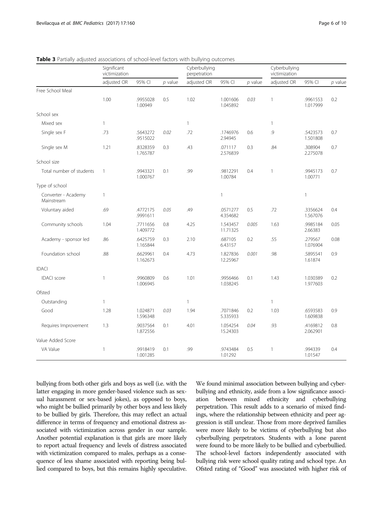|                                   | Significant<br>victimization |                      |           | Cyberbullying<br>perpetration |                      |           | Cyberbullying<br>victimization |                      |           |  |
|-----------------------------------|------------------------------|----------------------|-----------|-------------------------------|----------------------|-----------|--------------------------------|----------------------|-----------|--|
|                                   | adjusted OR                  | 95% CI               | $p$ value | adjusted OR                   | 95% CI               | $p$ value | adjusted OR                    | 95% CI               | $p$ value |  |
| Free School Meal                  |                              |                      |           |                               |                      |           |                                |                      |           |  |
|                                   | 1.00                         | .9955028<br>1.00949  | 0.5       | 1.02                          | 1.001606<br>1.045892 | 0.03      | $\mathbf{1}$                   | .9961553<br>1.017999 | 0.2       |  |
| School sex                        |                              |                      |           |                               |                      |           |                                |                      |           |  |
| Mixed sex                         | 1                            |                      |           | $\mathbf{1}$                  |                      |           | $\mathbf{1}$                   |                      |           |  |
| Single sex F                      | .73                          | .5643272<br>.9515022 | 0.02      | .72                           | .1746976<br>2.94945  | 0.6       | .9                             | .5423573<br>1.501808 | 0.7       |  |
| Single sex M                      | 1.21                         | .8328359<br>1.765787 | 0.3       | .43                           | .071117<br>2.576839  | 0.3       | .84                            | .308904<br>2.275078  | 0.7       |  |
| School size                       |                              |                      |           |                               |                      |           |                                |                      |           |  |
| Total number of students          | $\mathbf{1}$                 | .9943321<br>1.000767 | 0.1       | .99                           | .9812291<br>1.00784  | 0.4       | $\mathbf{1}$                   | .9945173<br>1.00771  | 0.7       |  |
| Type of school                    |                              |                      |           |                               |                      |           |                                |                      |           |  |
| Converter - Academy<br>Mainstream | 1                            |                      |           |                               | $\mathbf{1}$         |           |                                | $\mathbf{1}$         |           |  |
| Voluntary aided                   | .69                          | .4772175<br>.9991611 | 0.05      | .49                           | .0571277<br>4.354682 | 0.5       | .72                            | .3356624<br>1.567076 | 0.4       |  |
| Community schools                 | 1.04                         | .7711656<br>1.409772 | 0.8       | 4.25                          | 1.543457<br>11.71325 | 0.005     | 1.63                           | .9985184<br>2.66383  | 0.05      |  |
| Academy - sponsor led             | .86                          | .6425759<br>1.165844 | 0.3       | 2.10                          | .687105<br>6.43157   | 0.2       | .55                            | .279567<br>1.076904  | 0.08      |  |
| Foundation school                 | .88                          | .6629961<br>1.162673 | 0.4       | 4.73                          | 1.827836<br>12.25967 | 0.001     | .98                            | .5895541<br>1.61874  | 0.9       |  |
| <b>IDACI</b>                      |                              |                      |           |                               |                      |           |                                |                      |           |  |
| <b>IDACI</b> score                | 1                            | .9960809<br>1.006945 | 0.6       | 1.01                          | .9956466<br>1.038245 | 0.1       | 1.43                           | 1.030389<br>1.977603 | 0.2       |  |
| Ofsted                            |                              |                      |           |                               |                      |           |                                |                      |           |  |
| Outstanding                       | 1                            |                      |           | $\mathbf{1}$                  |                      |           | 1                              |                      |           |  |
| Good                              | 1.28                         | 1.024871<br>1.596348 | 0.03      | 1.94                          | .7071846<br>5.335933 | 0.2       | 1.03                           | .6593583<br>1.609838 | 0.9       |  |
| Requires Improvement              | 1.3                          | .9037564<br>1.872556 | 0.1       | 4.01                          | 1.054254<br>15.24303 | 0.04      | .93                            | .4169812<br>2.062901 | 0.8       |  |
| Value Added Score                 |                              |                      |           |                               |                      |           |                                |                      |           |  |
| VA Value                          | 1                            | .9918419<br>1.001285 | 0.1       | .99                           | .9743484<br>1.01292  | 0.5       | 1                              | .994339<br>1.01547   | 0.4       |  |

<span id="page-5-0"></span>Table 3 Partially adjusted associations of school-level factors with bullying outcomes

bullying from both other girls and boys as well (i.e. with the latter engaging in more gender-based violence such as sexual harassment or sex-based jokes), as opposed to boys, who might be bullied primarily by other boys and less likely to be bullied by girls. Therefore, this may reflect an actual difference in terms of frequency and emotional distress associated with victimization across gender in our sample. Another potential explanation is that girls are more likely to report actual frequency and levels of distress associated with victimization compared to males, perhaps as a consequence of less shame associated with reporting being bullied compared to boys, but this remains highly speculative.

We found minimal association between bullying and cyberbullying and ethnicity, aside from a low significance association between mixed ethnicity and cyberbullying perpetration. This result adds to a scenario of mixed findings, where the relationship between ethnicity and peer aggression is still unclear. Those from more deprived families were more likely to be victims of cyberbullying but also cyberbullying perpetrators. Students with a lone parent were found to be more likely to be bullied and cyberbullied. The school-level factors independently associated with bullying risk were school quality rating and school type. An Ofsted rating of "Good" was associated with higher risk of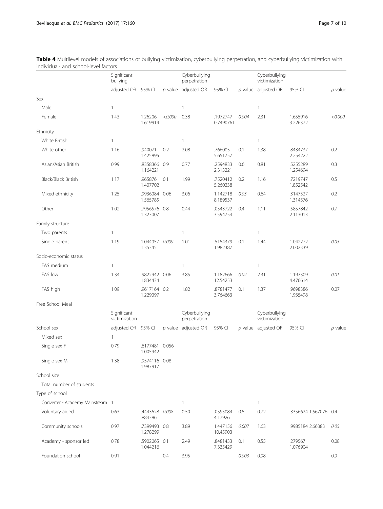|                                  | Significant<br>bullying      |                           |         |                               |                       |       | Cyberbullying<br>victimization |                       |           |
|----------------------------------|------------------------------|---------------------------|---------|-------------------------------|-----------------------|-------|--------------------------------|-----------------------|-----------|
|                                  | adjusted OR 95% CI           |                           |         | $p$ value adjusted OR         | 95% CI                |       | $p$ value adjusted OR          | 95% CI                | $p$ value |
| Sex                              |                              |                           |         |                               |                       |       |                                |                       |           |
| Male                             | $\mathbf{1}$                 |                           |         | $\mathbf{1}$                  |                       |       | $\mathbf{1}$                   |                       |           |
| Female                           | 1.43                         | 1.26206<br>1.619914       | < 0.000 | 0.38                          | .1972747<br>0.7490761 | 0.004 | 2.31                           | 1.655916<br>3.226372  | < 0.000   |
| Ethnicity                        |                              |                           |         |                               |                       |       |                                |                       |           |
| White British                    | $\mathbf{1}$                 |                           |         | $\mathbf{1}$                  |                       |       | $\mathbf{1}$                   |                       |           |
| White other                      | 1.16                         | .940071<br>1.425895       | 0.2     | 2.08                          | .766005<br>5.651757   | 0.1   | 1.38                           | .8434737<br>2.254222  | 0.2       |
| Asian/Asian British              | 0.99                         | .8358366 0.9<br>1.164221  |         | 0.77                          | .2594833<br>2.313221  | 0.6   | 0.81                           | .5255289<br>1.254694  | 0.3       |
| Black/Black British              | 1.17                         | .965876<br>1.407702       | 0.1     | 1.99                          | .7520412<br>5.260238  | 0.2   | 1.16                           | .7219747<br>1.852542  | 0.5       |
| Mixed ethnicity                  | 1.25                         | .9936084 0.06<br>1.565785 |         | 3.06                          | 1.142718<br>8.189537  | 0.03  | 0.64                           | .3147527<br>1.314576  | 0.2       |
| Other                            | 1.02                         | .7956576 0.8<br>1.323007  |         | 0.44                          | .0543722<br>3.594754  | 0.4   | 1.11                           | .5857842<br>2.113013  | 0.7       |
| Family structure                 |                              |                           |         |                               |                       |       |                                |                       |           |
| Two parents                      | $\mathbf{1}$                 |                           |         | $\mathbf{1}$                  |                       |       | $\mathbf{1}$                   |                       |           |
| Single parent                    | 1.19                         | 1.044057 0.009<br>1.35345 |         | 1.01                          | .5154379<br>1.982387  | 0.1   | 1.44                           | 1.042272<br>2.002339  | 0.03      |
| Socio-economic status            |                              |                           |         |                               |                       |       |                                |                       |           |
| FAS medium                       | $\mathbf{1}$                 |                           |         | $\mathbf{1}$                  |                       |       | $\overline{1}$                 |                       |           |
| FAS low                          | 1.34                         | .9822942 0.06<br>1.834434 |         | 3.85                          | 1.182666<br>12.54253  | 0.02  | 2.31                           | 1.197309<br>4.476614  | 0.01      |
| FAS high                         | 1.09                         | .9617164 0.2<br>1.229097  |         | 1.82                          | .8781477<br>3.764663  | 0.1   | 1.37                           | .9698386<br>1.935498  | 0.07      |
| Free School Meal                 |                              |                           |         |                               |                       |       |                                |                       |           |
|                                  | Significant<br>victimization |                           |         | Cyberbullying<br>perpetration |                       |       | Cyberbullying<br>victimization |                       |           |
| School sex                       | adjusted OR 95% CI           |                           |         | $p$ value adjusted OR         | 95% CI                |       | $p$ value adjusted OR          | 95% CI                | $p$ value |
| Mixed sex                        | $\mathbf{1}$                 |                           |         |                               |                       |       |                                |                       |           |
| Single sex F                     | 0.79                         | .6177481<br>1.005942      | 0.056   |                               |                       |       |                                |                       |           |
| Single sex M                     | 1.38                         | .9574116 0.08<br>1.987917 |         |                               |                       |       |                                |                       |           |
| School size                      |                              |                           |         |                               |                       |       |                                |                       |           |
| Total number of students         |                              |                           |         |                               |                       |       |                                |                       |           |
| Type of school                   |                              |                           |         |                               |                       |       |                                |                       |           |
| Converter - Academy Mainstream 1 |                              |                           |         | $\mathbf{1}$                  |                       |       | $\mathbf{1}$                   |                       |           |
| Voluntary aided                  | 0.63                         | .4443628 0.008<br>.884386 |         | 0.50                          | .0595084<br>4.179261  | 0.5   | 0.72                           | .3356624 1.567076 0.4 |           |
| Community schools                | 0.97                         | .7399493 0.8<br>1.278299  |         | 3.89                          | 1.447156<br>10.45903  | 0.007 | 1.63                           | .9985184 2.66383      | 0.05      |
| Academy - sponsor led            | 0.78                         | .5902065 0.1<br>1.044216  |         | 2.49                          | .8481433<br>7.335429  | 0.1   | 0.55                           | .279567<br>1.076904   | 0.08      |
| Foundation school                | 0.91                         |                           | 0.4     | 3.95                          |                       | 0.003 | 0.98                           |                       | 0.9       |

<span id="page-6-0"></span>Table 4 Multilevel models of associations of bullying victimization, cyberbullying perpetration, and cyberbullying victimization with individual- and school-level factors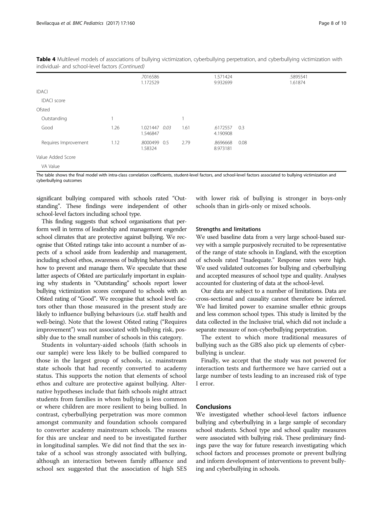|                      |      | .7016586<br>1.172529         |      | 1.571424<br>9.932699         | .5895541<br>1.61874 |
|----------------------|------|------------------------------|------|------------------------------|---------------------|
| <b>IDACI</b>         |      |                              |      |                              |                     |
| <b>IDACI</b> score   |      |                              |      |                              |                     |
| Ofsted               |      |                              |      |                              |                     |
| Outstanding          |      |                              |      |                              |                     |
| Good                 | 1.26 | 1.021447<br>0.03<br>1.546847 | 1.61 | .6172557<br>0.3<br>4.190908  |                     |
| Requires Improvement | 1.12 | .8000499 0.5<br>1.58324      | 2.79 | .8696668<br>0.08<br>8.973181 |                     |
| Value Added Score    |      |                              |      |                              |                     |
| VA Value             |      |                              |      |                              |                     |

Table 4 Multilevel models of associations of bullying victimization, cyberbullying perpetration, and cyberbullying victimization with individual- and school-level factors (Continued)

The table shows the final model with intra-class correlation coefficients, student-level factors, and school-level factors associated to bullying victimization and cyberbullying outcomes

significant bullying compared with schools rated "Outstanding". These findings were independent of other school-level factors including school type.

This finding suggests that school organisations that perform well in terms of leadership and management engender school climates that are protective against bullying. We recognise that Ofsted ratings take into account a number of aspects of a school aside from leadership and management, including school ethos, awareness of bullying behaviours and how to prevent and manage them. We speculate that these latter aspects of Ofsted are particularly important in explaining why students in "Outstanding" schools report lower bullying victimization scores compared to schools with an Ofsted rating of "Good". We recognise that school level factors other than those measured in the present study are likely to influence bullying behaviours (i.e. staff health and well-being). Note that the lowest Ofsted rating ("Requires improvement") was not associated with bullying risk, possibly due to the small number of schools in this category.

Students in voluntary-aided schools (faith schools in our sample) were less likely to be bullied compared to those in the largest group of schools, i.e. mainstream state schools that had recently converted to academy status. This supports the notion that elements of school ethos and culture are protective against bullying. Alternative hypotheses include that faith schools might attract students from families in whom bullying is less common or where children are more resilient to being bullied. In contrast, cyberbullying perpetration was more common amongst community and foundation schools compared to converter academy mainstream schools. The reasons for this are unclear and need to be investigated further in longitudinal samples. We did not find that the sex intake of a school was strongly associated with bullying, although an interaction between family affluence and school sex suggested that the association of high SES with lower risk of bullying is stronger in boys-only schools than in girls-only or mixed schools.

## Strengths and limitations

We used baseline data from a very large school-based survey with a sample purposively recruited to be representative of the range of state schools in England, with the exception of schools rated "Inadequate." Response rates were high. We used validated outcomes for bullying and cyberbullying and accepted measures of school type and quality. Analyses accounted for clustering of data at the school-level.

Our data are subject to a number of limitations. Data are cross-sectional and causality cannot therefore be inferred. We had limited power to examine smaller ethnic groups and less common school types. This study is limited by the data collected in the Inclusive trial, which did not include a separate measure of non-cyberbullying perpetration.

The extent to which more traditional measures of bullying such as the GBS also pick up elements of cyberbullying is unclear.

Finally, we accept that the study was not powered for interaction tests and furthermore we have carried out a large number of tests leading to an increased risk of type I error.

## Conclusions

We investigated whether school-level factors influence bullying and cyberbullying in a large sample of secondary school students. School type and school quality measures were associated with bullying risk. These preliminary findings pave the way for future research investigating which school factors and processes promote or prevent bullying and inform development of interventions to prevent bullying and cyberbullying in schools.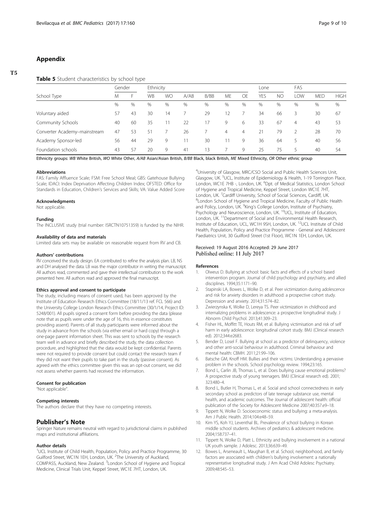<span id="page-8-0"></span>T5

#### Table 5 Student characteristics by school type

|                              |        | $\overline{\phantom{0}}$ |           |           |      |      |                |                |      |    |                |            |             |
|------------------------------|--------|--------------------------|-----------|-----------|------|------|----------------|----------------|------|----|----------------|------------|-------------|
| School Type                  | Gender |                          | Ethnicity |           |      |      |                | Lone           | FAS  |    |                |            |             |
|                              | M      | н.                       | <b>WB</b> | <b>WO</b> | A/AB | B/BB | <b>ME</b>      | OE             | YES  | NO | LOW            | <b>MED</b> | <b>HIGH</b> |
|                              | %      | %                        | %         | %         | %    | %    | $\%$           | %              | $\%$ | %  | %              | $\%$       | $\%$        |
| Voluntary aided              | 57     | 43                       | 30        | 14        |      | 29   | 12             |                | 34   | 66 | 3              | 30         | 67          |
| Community Schools            | 40     | 60                       | 35        | 11        | 22   | 17   | 9              | 6              | 33   | 67 | $\overline{4}$ | 43         | 53          |
| Converter Academy-mainstream | 47     | 53                       | 51        |           | 26   |      | $\overline{4}$ | $\overline{4}$ | 21   | 79 |                | 28         | 70          |
| Academy Sponsor-led          | 56     | 44                       | 29        | 9         |      | 30   | $\mathbf{1}$   | 9              | 36   | 64 | 5              | 40         | 56          |
| Foundation schools           | 43     | 57                       | 20        | 9         | 41   | 13   |                | 9              | 25   | 75 | 5              | 40         | 54          |
|                              |        |                          |           |           |      |      |                |                |      |    |                |            |             |

Ethnicity groups: WB White British, WO White Other, A/AB Asian/Asian British, B/BB Black, black British, ME Mixed Ethnicity, OR Other ethnic group

#### **Abbreviations**

FAS: Family Affluence Scale; FSM: Free School Meal; GBS: Gatehouse Bullying Scale; IDACI: Index Deprivation Affecting Children Index; OFSTED: Office for Standards in Education, Children's Services and Skills; VA: Value Added Score

#### Acknowledgments

Not applicable.

#### Funding

The INCLUSIVE study (trial number: ISRCTN10751359) is funded by the NIHR.

#### Availability of data and materials

Limited data sets may be available on reasonable request from RV and CB.

#### Authors' contributions

RV conceived the study design. EA contributed to refine the analysis plan. LB, NS and DH analysed the data. LB was the major contributor in writing the manuscript. All authors read, commented and gave their intellectual contribution to the work presented here. All authors read and approved the final manuscript.

#### Ethics approval and consent to participate

The study, including means of consent used, has been approved by the Institute of Education Research Ethics Committee (18/11/13 ref. FCL 566) and the University College London Research Ethics Committee (30/1/14, Project ID: 5248/001). All pupils signed a consent form before providing the data (please note that as pupils were under the age of 16, this in essence constitutes providing assent). Parents of all study participants were informed about the study in advance from the schools (via either email or hard copy) through a one-page parent information sheet. This was sent to schools by the research team well in advance and briefly described the study, the data collection procedure, and highlighted that the data would be kept confidential. Parents were not required to provide consent but could contact the research team if they did not want their pupils to take part in the study (passive consent). As agreed with the ethics committee given this was an opt-out consent, we did not assess whether parents had received the information.

#### Consent for publication

"Not applicable".

## Competing interests

The authors declare that they have no competing interests.

#### Publisher's Note

Springer Nature remains neutral with regard to jurisdictional claims in published maps and institutional affiliations.

#### Author details

<sup>1</sup>UCL Institute of Child Health, Population, Policy and Practice Programme, 30 Guilford Street, WC1N 1EH, London, UK. <sup>2</sup>The University of Auckland, COMPASS, Auckland, New Zealand. <sup>3</sup>London School of Hygiene and Tropical Medicine, Clinical Trials Unit, Keppel Street, WC1E 7HT, London, UK.

<sup>4</sup>University of Glasgow, MRC/CSO Social and Public Health Sciences Unit Glasgow, UK.<sup>5</sup>UCL, Institute of Epidemiology & Health, 1-19 Torrington Place London, WC1E 7HB -, London, UK. <sup>6</sup>Dpt. of Medical Statistics, London School of Hygiene and Tropical Medicine, Keppel Street, London WC1E 7HT, London, UK. <sup>7</sup>Cardiff University, School of Social Sciences, Cardiff, UK.<br><sup>8</sup>London, School of Hyginne and Tropical Modicine, Faculty of Public <sup>8</sup> London School of Hygiene and Tropical Medicine, Faculty of Public Health and Policy, London, UK. <sup>9</sup>King's College London, Institute of Psychiatry Psychology and Neuroscience, London, UK. <sup>10</sup>UCL, Institute of Education. London, UK.<sup>11</sup>Department of Social and Environmental Health Research, Institute of Education, UCL, WC1H 9SH, London, UK. <sup>12</sup>UCL Institute of Child Health, Population, Policy and Practice Programme - General and Adolescent Paediatrics Unit, 30 Guilford Street (1st Floor), WC1N 1EH, London, UK.

#### Received: 19 August 2016 Accepted: 29 June 2017 Published online: 11 July 2017

#### References

- 1. Olweus D. Bullying at school: basic facts and effects of a school based intervention program. Journal of child psychology and psychiatry, and allied disciplines. 1994;35:1171–90.
- 2. Stapinski LA, Bowes L, Wolke D, et al. Peer victimization during adolescence and risk for anxiety disorders in adulthood: a prospective cohort study. Depression and anxiety. 2014;31:574–82.
- 3. Zwierzynska K, Wolke D, Lereya TS. Peer victimization in childhood and internalizing problems in adolescence: a prospective longitudinal study. J Abnorm Child Psychol. 2013;41:309–23.
- 4. Fisher HL, Moffitt TE, Houts RM, et al. Bullying victimisation and risk of self harm in early adolescence: longitudinal cohort study. BMJ (Clinical research ed). 2012;344:e2683.
- 5. Bender D, Losel F. Bullying at school as a predictor of delinquency, violence and other anti-social behaviour in adulthood. Criminal behaviour and mental health: CBMH. 2011;21:99–106.
- 6. Batsche GM, Knoff HM. Bullies and their victims: Understanding a pervasive problem in the schools. School psychology review. 1994;23:165.
- 7. Bond L, Carlin JB, Thomas L, et al. Does bullying cause emotional problems? A prospective study of young teenagers. BMJ (Clinical research ed). 2001; 323:480–4.
- 8. Bond L, Butler H, Thomas L, et al. Social and school connectedness in early secondary school as predictors of late teenage substance use, mental health, and academic outcomes. The Journal of adolescent health: official publication of the Society for Adolescent Medicine 2007;40:357.e9–18.
- 9. Tippett N, Wolke D. Socioeconomic status and bullying: a meta-analysis. Am J Public Health. 2014;104:e48–59.
- 10. Kim YS, Koh YJ, Leventhal BL. Prevalence of school bullying in Korean middle school students. Archives of pediatrics & adolescent medicine. 2004;158:737–41.
- 11. Tippett N, Wolke D, Platt L. Ethnicity and bullying involvement in a national UK youth sample. J Adolesc. 2013;36:639–49.
- 12. Bowes L, Arseneault L, Maughan B, et al. School, neighborhood, and family factors are associated with children's bullying involvement: a nationally representative longitudinal study. J Am Acad Child Adolesc Psychiatry. 2009;48:545–53.